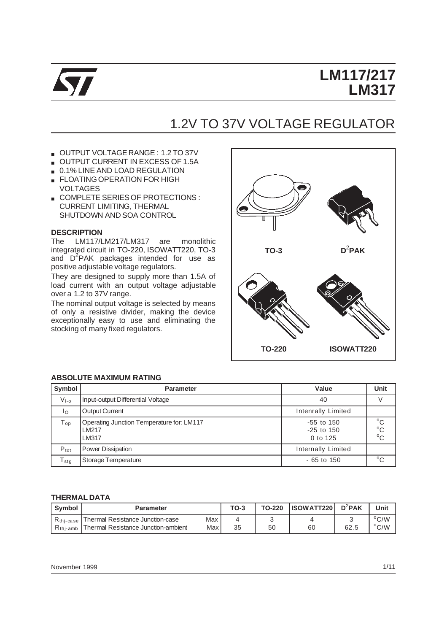

# **LM117/217 LM317**

# 1.2V TO 37V VOLTAGE REGULATOR

- OUTPUT VOLTAGE RANGE : 1.2 TO 37V
- OUTPUT CURRENT IN EXCESS OF 1.5A
- 0.1% LINE AND LOAD REGULATION
- **ELOATING OPERATION FOR HIGH** VOLTAGES
- COMPLETE SERIES OF PROTECTIONS : CURRENT LIMITING, THERMAL SHUTDOWN AND SOA CONTROL

## **DESCRIPTION**

The LM117/LM217/LM317 are monolithic integrated circuit in TO-220, ISOWATT220, TO-3 and D<sup>2</sup>PAK packages intended for use as positive adjustable voltage regulators.

They are designed to supply more than 1.5A of load current with an output voltage adjustable over a 1.2 to 37V range.

The nominal output voltage is selected by means of only a resistive divider, making the device exceptionally easy to use and eliminating the stocking of many fixed regulators.



### **ABSOLUTE MAXIMUM RATING**

| Symbol                      | <b>Parameter</b>                                            | Value                                        | <b>Unit</b>                                  |
|-----------------------------|-------------------------------------------------------------|----------------------------------------------|----------------------------------------------|
| $V_{i-0}$                   | Input-output Differential Voltage                           | 40                                           |                                              |
| Ιo                          | <b>Output Current</b>                                       | Intenrally Limited                           |                                              |
| ${\mathsf T}_{\textsf{op}}$ | Operating Junction Temperature for: LM117<br>LM217<br>LM317 | $-55$ to $150$<br>$-25$ to $150$<br>0 to 125 | $^{\circ}$ C<br>$^{\circ}$ C<br>$^{\circ}$ C |
| $P_{\text{tot}}$            | Power Dissipation                                           | Internally Limited                           |                                              |
| $T_{\text{stg}}$            | Storage Temperature                                         | $-65$ to 150                                 | $^{\circ}$ C                                 |

### **THERMAL DATA**

| Symbol                    | <b>Parameter</b>                           |     | TO-3 | TO-220 | <b>ISOWATT220</b> | $D^2$ PAK | Unit          |
|---------------------------|--------------------------------------------|-----|------|--------|-------------------|-----------|---------------|
| $R_{\rm thi\text{-}case}$ | I Thermal Resistance Junction-case         | Max |      |        |                   |           | $\rm ^{o}C/W$ |
| $R_{\text{thi-amb}}$      | <b>Thermal Resistance Junction-ambient</b> | Max | 35   | 50     | 60                | 62.t      | $\rm ^{o}C/W$ |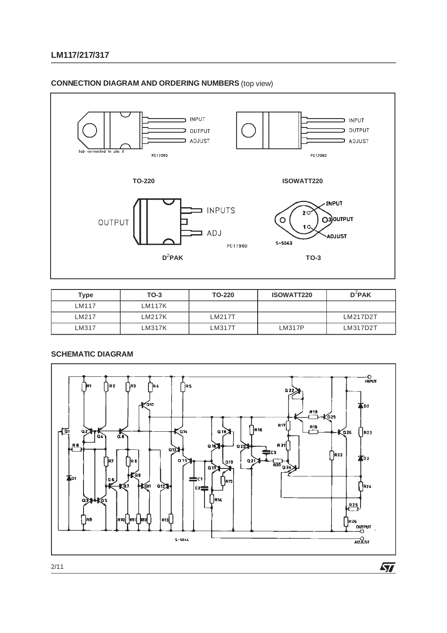



| Type              | $TO-3$ | TO-220 | <b>ISOWATT220</b> | $D^2$ PAK |
|-------------------|--------|--------|-------------------|-----------|
| IM <sub>117</sub> | LM117K |        |                   |           |
| LM217             | LM217K | LM217T |                   | LM217D2T  |
| LM317             | LM317K | LM317T | LM317P            | LM317D2T  |



# **CONNECTION DIAGRAM AND ORDERING NUMBERS** (top view)

**LM117/217/317**

 $\sqrt{2}$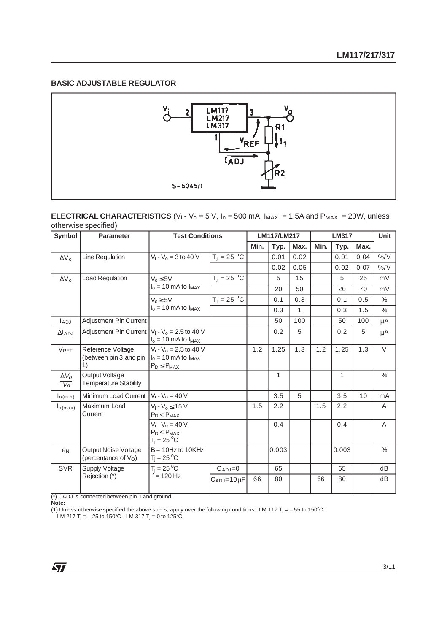# **BASIC ADJUSTABLE REGULATOR**



## **ELECTRICAL CHARACTERISTICS** (V<sub>i</sub> - V<sub>o</sub> = 5 V,  $I_0$  = 500 mA,  $I_{MAX}$  = 1.5A and  $P_{MAX}$  = 20W, unless otherwise specified)

| Symbol                | <b>Parameter</b>                                  | <b>Test Conditions</b>                                                        |                      |      | LM117/LM217  |              | <b>LM317</b> |              |      | <b>Unit</b>   |
|-----------------------|---------------------------------------------------|-------------------------------------------------------------------------------|----------------------|------|--------------|--------------|--------------|--------------|------|---------------|
|                       |                                                   |                                                                               |                      | Min. | Typ.         | Max.         | Min.         | Typ.         | Max. |               |
| $\Delta V_{\Omega}$   | Line Regulation                                   | $V_i - V_o = 3$ to 40 V                                                       | $T_j = 25 °C$        |      | 0.01         | 0.02         |              | 0.01         | 0.04 | $\%$ /V       |
|                       |                                                   |                                                                               |                      |      | 0.02         | 0.05         |              | 0.02         | 0.07 | $\frac{9}{6}$ |
| $\Delta V_{\Omega}$   | <b>Load Regulation</b>                            | $V_0 \leq 5V$                                                                 | $T_j = 25 °C$        |      | 5            | 15           |              | 5            | 25   | mV            |
|                       |                                                   | $I_0 = 10$ mA to $I_{MAX}$                                                    |                      |      | 20           | 50           |              | 20           | 70   | mV            |
|                       |                                                   | $V_0 \geq 5V$                                                                 | $T_j = 25 °C$        |      | 0.1          | 0.3          |              | 0.1          | 0.5  | $\frac{0}{0}$ |
|                       |                                                   | $I_0 = 10$ mA to $I_{MAX}$                                                    |                      |      | 0.3          | $\mathbf{1}$ |              | 0.3          | 1.5  | $\%$          |
| $I_{ADJ}$             | Adjustment Pin Current                            |                                                                               |                      |      | 50           | 100          |              | 50           | 100  | μA            |
| $\Delta$ LADJ         | Adjustment Pin Current                            | $V_i - V_o = 2.5$ to 40 V<br>$I_0$ = 10 mA to $I_{MAX}$                       |                      |      | 0.2          | 5            |              | 0.2          | 5    | μA            |
| $V_{REF}$             | Reference Voltage<br>(between pin 3 and pin<br>1) | $V_i - V_o = 2.5$ to 40 V<br>$I_0 = 10$ mA to $I_{MAX}$<br>$P_D \leq P_{MAX}$ |                      | 1.2  | 1.25         | 1.3          | 1.2          | 1.25         | 1.3  | $\vee$        |
| $\Delta V_O$<br>$V_o$ | Output Voltage<br><b>Temperature Stability</b>    |                                                                               |                      |      | $\mathbf{1}$ |              |              | $\mathbf{1}$ |      | $\%$          |
| I <sub>o(min)</sub>   | Minimum Load Current                              | $V_i - V_0 = 40 V$                                                            |                      |      | 3.5          | 5            |              | 3.5          | 10   | mA            |
| $I_{O(max)}$          | Maximum Load<br>Current                           | $V_i - V_o \le 15$ V<br>$P_D < P_{MAX}$                                       |                      | 1.5  | 2.2          |              | 1.5          | 2.2          |      | A             |
|                       |                                                   | $V_i - V_o = 40 V$<br>$P_D < P_{MAX}$<br>$T_i = 25^{\circ}C$                  |                      |      | 0.4          |              |              | 0.4          |      | A             |
| e <sub>N</sub>        | Output Noise Voltage<br>(percentance of $V_O$ )   | $B = 10$ Hz to 10KHz<br>$T_j = 25 \degree C$                                  |                      |      | 0.003        |              |              | 0.003        |      | $\frac{0}{0}$ |
| <b>SVR</b>            | Supply Voltage                                    | $T_i = 25 \text{ °C}$                                                         | $C_{ADJ}=0$          |      | 65           |              |              | 65           |      | dB            |
|                       | Rejection (*)                                     | $f = 120$ Hz                                                                  | $C_{ADJ} = 10 \mu F$ | 66   | 80           |              | 66           | 80           |      | dB            |

(\*) CADJ is connected between pin 1 and ground.

**Note:**

(1) Unless otherwise specified the above specs, apply over the following conditions : LM 117 T<sub>j</sub> = -55 to 150°C;

LM 217 T<sub>j</sub> =  $-$  25 to 150°C ; LM 317 T<sub>j</sub> = 0 to 125°C.

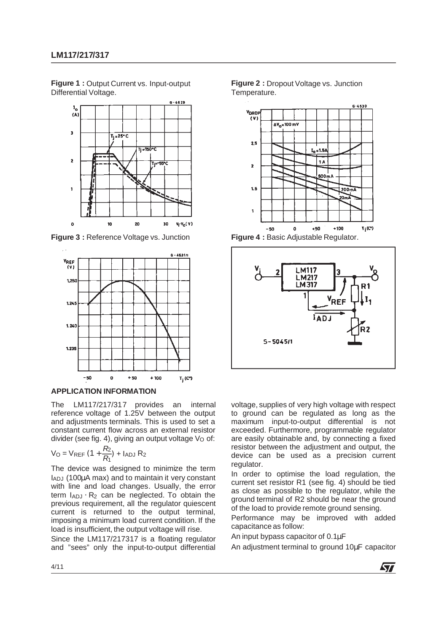**Figure 1 :** Output Current vs. Input-output Differential Voltage.



**Figure 3 :** Reference Voltage vs. Junction



## **APPLICATION INFORMATION**

The LM117/217/317 provides an internal reference voltage of 1.25V between the output and adjustments terminals. This is used to set a constant current flow across an external resistor divider (see fig. 4), giving an output voltage Vo of:

$$
V_O = V_{REF} (1 + \frac{R_2}{R_1}) + I_{ADJ} R_2
$$

The device was designed to minimize the term IADJ (100µA max) and to maintain it very constant with line and load changes. Usually, the error term  $I_{ADJ} \cdot R_2$  can be neglected. To obtain the previous requirement, all the regulator quiescent current is returned to the output terminal, imposing a minimum load current condition. If the load is insufficient, the output voltage will rise.

Since the LM117/217317 is a floating regulator and "sees" only the input-to-output differential





**Figure 4 :** Basic Adjustable Regulator.



voltage, supplies of very high voltage with respect to ground can be regulated as long as the maximum input-to-output differential is not exceeded. Furthermore, programmable regulator are easily obtainable and, by connecting a fixed resistor between the adjustment and output, the device can be used as a precision current regulator.

In order to optimise the load regulation, the current set resistor R1 (see fig. 4) should be tied as close as possible to the regulator, while the ground terminal of R2 should be near the ground of the load to provide remote ground sensing.

Performance may be improved with added capacitance as follow:

An input bypass capacitor of 0.1µF

An adjustment terminal to ground 10µF capacitor

**ST**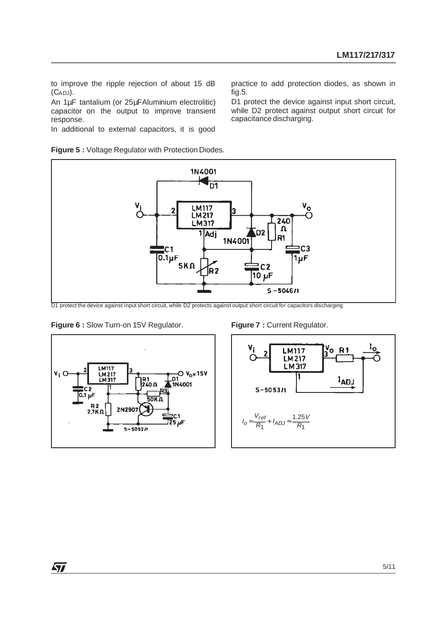to improve the ripple rejection of about 15 dB (CADJ).

An 1µF tantalium (or 25µFAluminium electrolitic) capacitor on the output to improve transient response.

In additional to external capacitors, it is good

**Figure 5 :** Voltage Regulator with Protection Diodes.

practice to add protection diodes, as shown in fig.5.

D1 protect the device against input short circuit, while D2 protect against output short circuit for capacitance discharging.



D1 protect the device against input short circuit, while D2 protects against output short circuit for capacitors discharging









ィオ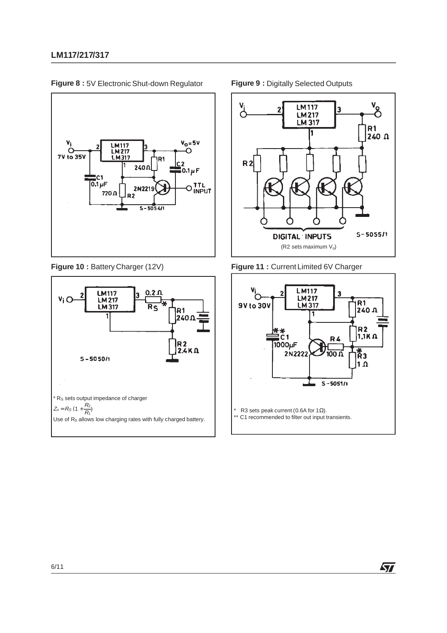

**Figure 8 :** 5V Electronic Shut-down Regulator **Figure 9 :** Digitally Selected Outputs







**Figure 10 :** Battery Charger (12V) **Figure 11 :** Current Limited 6V Charger



牙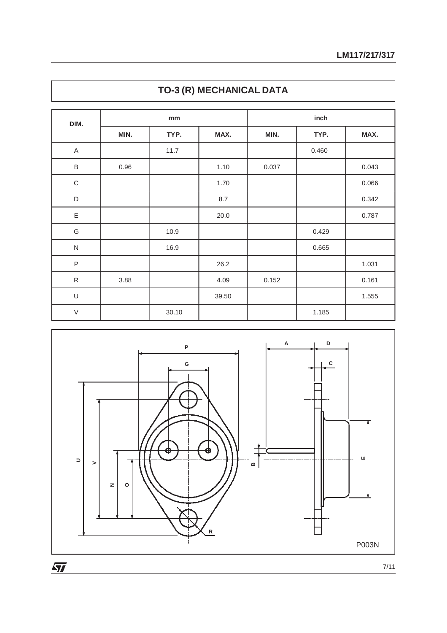| DIM.         |      | mm    |       | inch  |       |       |  |
|--------------|------|-------|-------|-------|-------|-------|--|
|              | MIN. | TYP.  | MAX.  | MIN.  | TYP.  | MAX.  |  |
| $\mathsf A$  |      | 11.7  |       |       | 0.460 |       |  |
| $\sf B$      | 0.96 |       | 1.10  | 0.037 |       | 0.043 |  |
| $\mathsf C$  |      |       | 1.70  |       |       | 0.066 |  |
| $\mathsf D$  |      |       | 8.7   |       |       | 0.342 |  |
| $\mathsf E$  |      |       | 20.0  |       |       | 0.787 |  |
| G            |      | 10.9  |       |       | 0.429 |       |  |
| $\mathsf{N}$ |      | 16.9  |       |       | 0.665 |       |  |
| $\mathsf P$  |      |       | 26.2  |       |       | 1.031 |  |
| ${\sf R}$    | 3.88 |       | 4.09  | 0.152 |       | 0.161 |  |
| $\cup$       |      |       | 39.50 |       |       | 1.555 |  |
| $\vee$       |      | 30.10 |       |       | 1.185 |       |  |

# **TO-3 (R) MECHANICAL DATA**

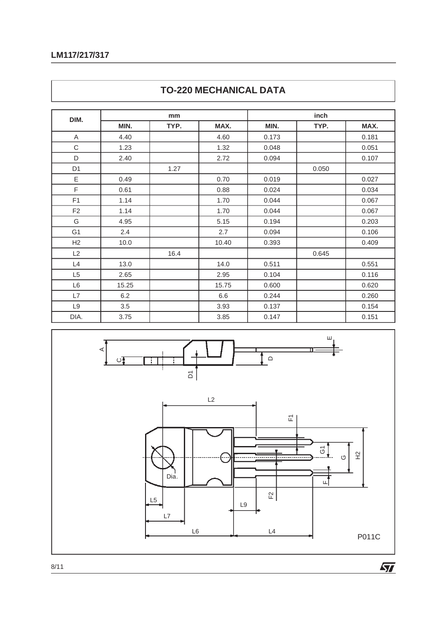# **LM117/217/317**

| DIM.           |       | mm   |       | inch  |       |       |  |  |
|----------------|-------|------|-------|-------|-------|-------|--|--|
|                | MIN.  | TYP. | MAX.  | MIN.  | TYP.  | MAX.  |  |  |
| Α              | 4.40  |      | 4.60  | 0.173 |       | 0.181 |  |  |
| C              | 1.23  |      | 1.32  | 0.048 |       | 0.051 |  |  |
| D              | 2.40  |      | 2.72  | 0.094 |       | 0.107 |  |  |
| D <sub>1</sub> |       | 1.27 |       |       | 0.050 |       |  |  |
| E              | 0.49  |      | 0.70  | 0.019 |       | 0.027 |  |  |
| F              | 0.61  |      | 0.88  | 0.024 |       | 0.034 |  |  |
| F <sub>1</sub> | 1.14  |      | 1.70  | 0.044 |       | 0.067 |  |  |
| F <sub>2</sub> | 1.14  |      | 1.70  | 0.044 |       | 0.067 |  |  |
| G              | 4.95  |      | 5.15  | 0.194 |       | 0.203 |  |  |
| G <sub>1</sub> | 2.4   |      | 2.7   | 0.094 |       | 0.106 |  |  |
| H2             | 10.0  |      | 10.40 | 0.393 |       | 0.409 |  |  |
| L2             |       | 16.4 |       |       | 0.645 |       |  |  |
| L4             | 13.0  |      | 14.0  | 0.511 |       | 0.551 |  |  |
| L <sub>5</sub> | 2.65  |      | 2.95  | 0.104 |       | 0.116 |  |  |
| L6             | 15.25 |      | 15.75 | 0.600 |       | 0.620 |  |  |
| L7             | 6.2   |      | 6.6   | 0.244 |       | 0.260 |  |  |
| L9             | 3.5   |      | 3.93  | 0.137 |       | 0.154 |  |  |
| DIA.           | 3.75  |      | 3.85  | 0.147 |       | 0.151 |  |  |





8/11

 $\sqrt{2}$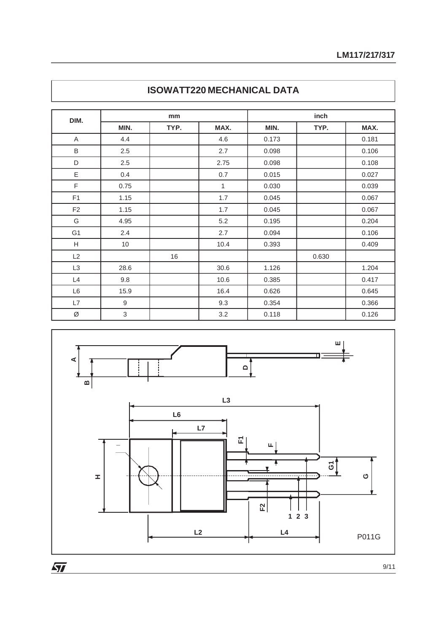|                |      | mm   |              | inch  |       |       |  |  |
|----------------|------|------|--------------|-------|-------|-------|--|--|
| DIM.           | MIN. | TYP. | MAX.         | MIN.  | TYP.  | MAX.  |  |  |
| A              | 4.4  |      | 4.6          | 0.173 |       | 0.181 |  |  |
| B              | 2.5  |      | 2.7          | 0.098 |       | 0.106 |  |  |
| D              | 2.5  |      | 2.75         | 0.098 |       | 0.108 |  |  |
| Ε              | 0.4  |      | 0.7          | 0.015 |       | 0.027 |  |  |
| F              | 0.75 |      | $\mathbf{1}$ | 0.030 |       | 0.039 |  |  |
| F <sub>1</sub> | 1.15 |      | 1.7          | 0.045 |       | 0.067 |  |  |
| F <sub>2</sub> | 1.15 |      | 1.7          | 0.045 |       | 0.067 |  |  |
| G              | 4.95 |      | 5.2          | 0.195 |       | 0.204 |  |  |
| G <sub>1</sub> | 2.4  |      | 2.7          | 0.094 |       | 0.106 |  |  |
| Н              | 10   |      | 10.4         | 0.393 |       | 0.409 |  |  |
| L2             |      | 16   |              |       | 0.630 |       |  |  |
| L <sub>3</sub> | 28.6 |      | 30.6         | 1.126 |       | 1.204 |  |  |
| L4             | 9.8  |      | 10.6         | 0.385 |       | 0.417 |  |  |
| L6             | 15.9 |      | 16.4         | 0.626 |       | 0.645 |  |  |
| L7             | 9    |      | 9.3          | 0.354 |       | 0.366 |  |  |
| Ø              | 3    |      | 3.2          | 0.118 |       | 0.126 |  |  |





 $\overline{\mathbf{M}}$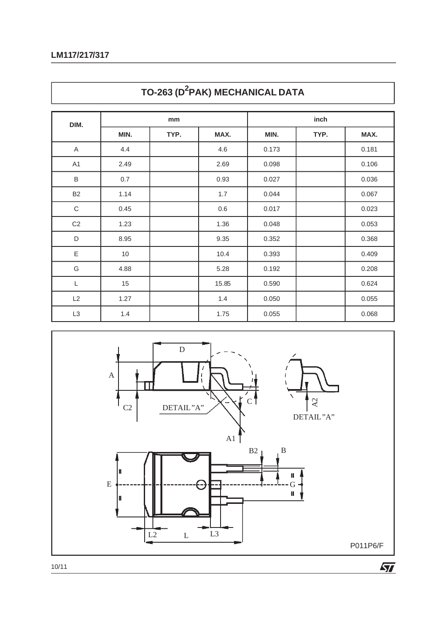| DIM.           |      | mm   |         | inch  |      |       |  |
|----------------|------|------|---------|-------|------|-------|--|
|                | MIN. | TYP. | MAX.    | MIN.  | TYP. | MAX.  |  |
| A              | 4.4  |      | 4.6     | 0.173 |      | 0.181 |  |
| A1             | 2.49 |      | 2.69    | 0.098 |      | 0.106 |  |
| $\sf B$        | 0.7  |      | 0.93    | 0.027 |      | 0.036 |  |
| <b>B2</b>      | 1.14 |      | 1.7     | 0.044 |      | 0.067 |  |
| $\mathsf C$    | 0.45 |      | $0.6\,$ | 0.017 |      | 0.023 |  |
| C <sub>2</sub> | 1.23 |      | 1.36    | 0.048 |      | 0.053 |  |
| D              | 8.95 |      | 9.35    | 0.352 |      | 0.368 |  |
| Ε              | 10   |      | 10.4    | 0.393 |      | 0.409 |  |
| G              | 4.88 |      | 5.28    | 0.192 |      | 0.208 |  |
| L              | 15   |      | 15.85   | 0.590 |      | 0.624 |  |
| L2             | 1.27 |      | 1.4     | 0.050 |      | 0.055 |  |
| L3             | 1.4  |      | 1.75    | 0.055 |      | 0.068 |  |





10/11